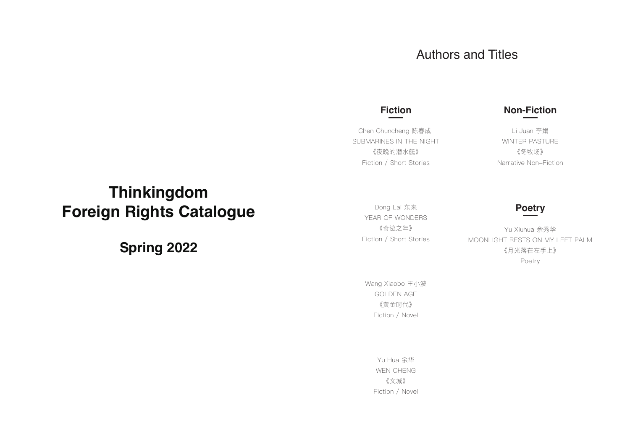# Authors and Titles

### **Fiction**

Chen Chuncheng 陈春成 SUBMARINES IN THE NIGHT 《夜晚的潜水艇》 Fiction / Short Stories

### Dong Lai 东来 YEAR OF WONDERS 《奇迹之年》 Fiction / Short Stories

## **Non-Fiction**

Li Juan 李娟 WINTER PASTURE 《冬牧场》 Narrative Non-Fiction

Yu Xiuhua 余秀华 MOONLIGHT RESTS ON MY LEFT PALM 《月光落在左手上》 Poetry

**Poetry**

Wang Xiaobo 王小波 GOLDEN AGE 《黄金时代》 Fiction / Novel

> Yu Hua 余华 WEN CHENG 《文城》 Fiction / Novel

# **Thinkingdom Foreign Rights Catalogue**

**Spring 2022**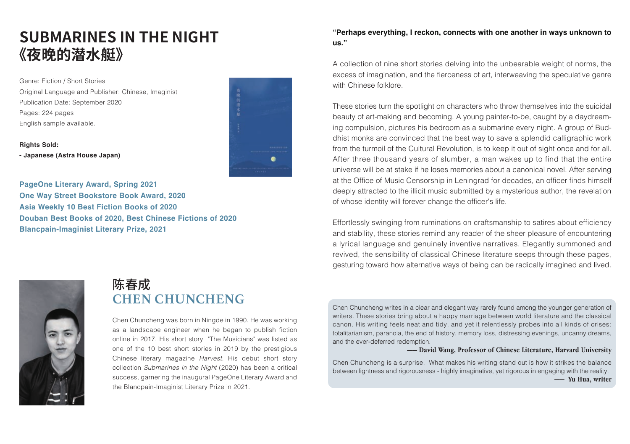# **SUBMARINES IN THE NIGHT 《夜晚的潜水艇》**

Genre: Fiction / Short Stories Original Language and Publisher: Chinese, Imaginist Publication Date: September 2020 Pages: 224 pages English sample available.

**Rights Sold: - Japanese (Astra House Japan)**



**PageOne Literary Award, Spring 2021 One Way Street Bookstore Book Award, 2020 Asia Weekly 10 Best Fiction Books of 2020 Douban Best Books of 2020, Best Chinese Fictions of 2020 Blancpain-Imaginist Literary Prize, 2021**

#### **"Perhaps everything, I reckon, connects with one another in ways unknown to us."**

A collection of nine short stories delving into the unbearable weight of norms, the excess of imagination, and the fierceness of art, interweaving the speculative genre with Chinese folklore.

These stories turn the spotlight on characters who throw themselves into the suicidal beauty of art-making and becoming. A young painter-to-be, caught by a daydreaming compulsion, pictures his bedroom as a submarine every night. A group of Buddhist monks are convinced that the best way to save a splendid calligraphic work from the turmoil of the Cultural Revolution, is to keep it out of sight once and for all. After three thousand years of slumber, a man wakes up to find that the entire universe will be at stake if he loses memories about a canonical novel. After serving at the Office of Music Censorship in Leningrad for decades, an officer finds himself deeply attracted to the illicit music submitted by a mysterious author, the revelation of whose identity will forever change the officer's life.

Effortlessly swinging from ruminations on craftsmanship to satires about efficiency and stability, these stories remind any reader of the sheer pleasure of encountering a lyrical language and genuinely inventive narratives. Elegantly summoned and revived, the sensibility of classical Chinese literature seeps through these pages, gesturing toward how alternative ways of being can be radically imagined and lived.



# **CHEN CHUNCHENG**  陈春成

Chen Chuncheng was born in Ningde in 1990. He was working as a landscape engineer when he began to publish fiction online in 2017. His short story "The Musicians" was listed as one of the 10 best short stories in 2019 by the prestigious Chinese literary magazine *Harvest*. His debut short story collection *Submarines in the Night* (2020) has been a critical success, garnering the inaugural PageOne Literary Award and the Blancpain-Imaginist Literary Prize in 2021.

Chen Chuncheng writes in a clear and elegant way rarely found among the younger generation of writers. These stories bring about a happy marriage between world literature and the classical canon. His writing feels neat and tidy, and yet it relentlessly probes into all kinds of crises: totalitarianism, paranoia, the end of history, memory loss, distressing evenings, uncanny dreams, and the ever-deferred redemption.

#### **—— David Wang, Professor of Chinese Literature, Harvard University**

Chen Chuncheng is a surprise. What makes his writing stand out is how it strikes the balance between lightness and rigorousness - highly imaginative, yet rigorous in engaging with the reality. **—— Yu Hua, writer**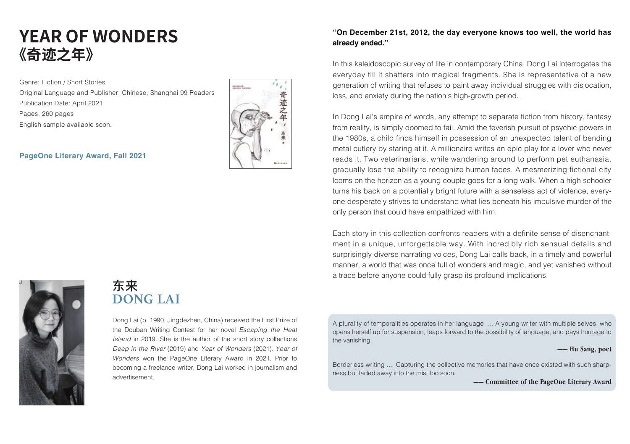# **YEAR OF WONDERS 《奇迹之年》**

Genre: Fiction / Short Stories Original Language and Publisher: Chinese, Shanghai 99 Readers Publication Date: April 2021 Pages: 260 pages English sample available soon.

#### **PageOne Literary Award, Fall 2021**



### **"On December 21st, 2012, the day everyone knows too well, the world has already ended."**

In this kaleidoscopic survey of life in contemporary China, Dong Lai interrogates the everyday till it shatters into magical fragments. She is representative of a new generation of writing that refuses to paint away individual struggles with dislocation, loss, and anxiety during the nation's high-growth period.

In Dong Lai's empire of words, any attempt to separate fiction from history, fantasy from reality, is simply doomed to fail. Amid the feverish pursuit of psychic powers in the 1980s, a child finds himself in possession of an unexpected talent of bending metal cutlery by staring at it. A millionaire writes an epic play for a lover who never reads it. Two veterinarians, while wandering around to perform pet euthanasia, gradually lose the ability to recognize human faces. A mesmerizing fictional city looms on the horizon as a young couple goes for a long walk. When a high schooler turns his back on a potentially bright future with a senseless act of violence, everyone desperately strives to understand what lies beneath his impulsive murder of the only person that could have empathized with him.

Each story in this collection confronts readers with a definite sense of disenchantment in a unique, unforgettable way. With incredibly rich sensual details and surprisingly diverse narrating voices, Dong Lai calls back, in a timely and powerful manner, a world that was once full of wonders and magic, and yet vanished without a trace before anyone could fully grasp its profound implications.



## **DONG LAI** 东来

Dong Lai (b. 1990, Jingdezhen, China) received the First Prize of the Douban Writing Contest for her novel *Escaping the Heat Island* in 2019. She is the author of the short story collections *Deep in the River* (2019) and *Year of Wonders* (2021). *Year of Wonders* won the PageOne Literary Award in 2021. Prior to becoming a freelance writer, Dong Lai worked in journalism and advertisement.

A plurality of temporalities operates in her language … A young writer with multiple selves, who opens herself up for suspension, leaps forward to the possibility of language, and pays homage to the vanishing.

#### **—— Hu Sang, poet**

Borderless writing … Capturing the collective memories that have once existed with such sharpness but faded away into the mist too soon.

**—— Committee of the PageOne Literary Award**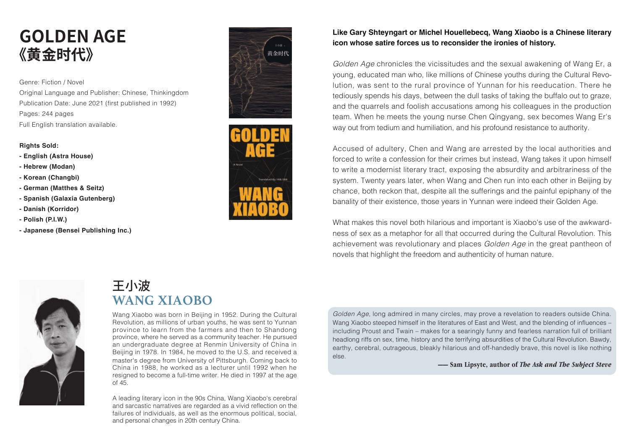# **GOLDEN AGE 《黄金时代》**

Genre: Fiction / Novel Original Language and Publisher: Chinese, Thinkingdom Publication Date: June 2021 (first published in 1992) Pages: 244 pages Full English translation available.

#### **Rights Sold:**

- **English (Astra House)**
- **Hebrew (Modan)**
- **Korean (Changbi)**
- **German (Matthes & Seitz)**
- **Spanish (Galaxia Gutenberg)**
- **Danish (Korridor)**
- **Polish (P.I.W.)**
- **Japanese (Bensei Publishing Inc.)**





### **Like Gary Shteyngart or Michel Houellebecq, Wang Xiaobo is a Chinese literary icon whose satire forces us to reconsider the ironies of history.**

*Golden Age* chronicles the vicissitudes and the sexual awakening of Wang Er, a young, educated man who, like millions of Chinese youths during the Cultural Revolution, was sent to the rural province of Yunnan for his reeducation. There he tediously spends his days, between the dull tasks of taking the buffalo out to graze, and the quarrels and foolish accusations among his colleagues in the production team. When he meets the young nurse Chen Qingyang, sex becomes Wang Er's way out from tedium and humiliation, and his profound resistance to authority.

Accused of adultery, Chen and Wang are arrested by the local authorities and forced to write a confession for their crimes but instead, Wang takes it upon himself to write a modernist literary tract, exposing the absurdity and arbitrariness of the system. Twenty years later, when Wang and Chen run into each other in Beijing by chance, both reckon that, despite all the sufferings and the painful epiphany of the banality of their existence, those years in Yunnan were indeed their Golden Age.

What makes this novel both hilarious and important is Xiaobo's use of the awkwardness of sex as a metaphor for all that occurred during the Cultural Revolution. This achievement was revolutionary and places *Golden Age* in the great pantheon of novels that highlight the freedom and authenticity of human nature.



# 王小波 **WANG XIAOBO**

Wang Xiaobo was born in Beijing in 1952. During the Cultural Revolution, as millions of urban youths, he was sent to Yunnan province to learn from the farmers and then to Shandong province, where he served as a community teacher. He pursued an undergraduate degree at Renmin University of China in Beijing in 1978. In 1984, he moved to the U.S. and received a master's degree from University of Pittsburgh. Coming back to China in 1988, he worked as a lecturer until 1992 when he resigned to become a full-time writer. He died in 1997 at the age of 45.

A leading literary icon in the 90s China, Wang Xiaobo's cerebral and sarcastic narratives are regarded as a vivid reflection on the failures of individuals, as well as the enormous political, social, and personal changes in 20th century China.

*Golden Age*, long admired in many circles, may prove a revelation to readers outside China. Wang Xiaobo steeped himself in the literatures of East and West, and the blending of influences – including Proust and Twain – makes for a searingly funny and fearless narration full of brilliant headlong riffs on sex, time, history and the terrifying absurdities of the Cultural Revolution. Bawdy, earthy, cerebral, outrageous, bleakly hilarious and off-handedly brave, this novel is like nothing else.

**—— Sam Lipsyte, author of** *The Ask and The Subject Steve*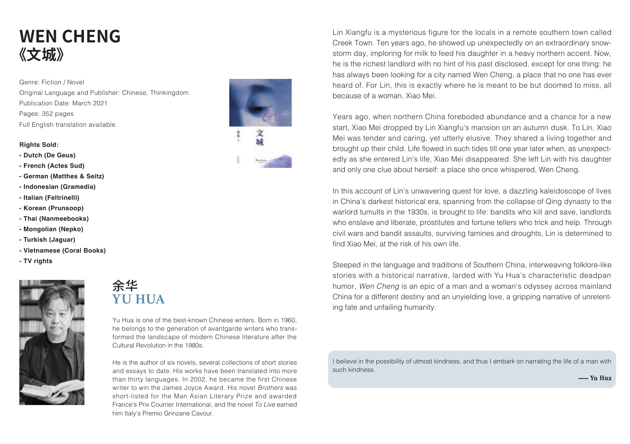# **WEN CHENG 《文城》**

Genre: Fiction / Novel Original Language and Publisher: Chinese, Thinkingdom Publication Date: March 2021 Pages: 352 pages Full English translation available.

#### **Rights Sold:**

- **Dutch (De Geus)**
- **French (Actes Sud)**
- **German (Matthes & Seitz)**
- **Indonesian (Gramedia)**
- **Italian (Feltrinelli)**
- **Korean (Prunsoop)**
- **Thai (Nanmeebooks)**
- **Mongolian (Nepko)**
- **Turkish (Jaguar)**
- **Vietnamese (Coral Books)**
- **TV rights**



## 余华 **YU HUA**

Yu Hua is one of the best-known Chinese writers. Born in 1960, he belongs to the generation of avantgarde writers who transformed the landscape of modern Chinese literature after the Cultural Revolution in the 1980s.

He is the author of six novels, several collections of short stories and essays to date. His works have been translated into more than thirty languages. In 2002, he became the first Chinese writer to win the James Joyce Award. His novel *Brothers* was short-listed for the Man Asian Literary Prize and awarded France's Prix Courrier International, and the novel *To Live* earned him Italy's Premio Grinzane Cavour.



Lin Xiangfu is a mysterious figure for the locals in a remote southern town called Creek Town. Ten years ago, he showed up unexpectedly on an extraordinary snowstorm day, imploring for milk to feed his daughter in a heavy northern accent. Now, he is the richest landlord with no hint of his past disclosed, except for one thing: he has always been looking for a city named Wen Cheng, a place that no one has ever heard of. For Lin, this is exactly where he is meant to be but doomed to miss, all because of a woman, Xiao Mei.

Years ago, when northern China foreboded abundance and a chance for a new start, Xiao Mei dropped by Lin Xiangfu's mansion on an autumn dusk. To Lin, Xiao Mei was tender and caring, yet utterly elusive. They shared a living together and brought up their child. Life flowed in such tides till one year later when, as unexpectedly as she entered Lin's life, Xiao Mei disappeared. She left Lin with his daughter and only one clue about herself: a place she once whispered, Wen Cheng.

In this account of Lin's unwavering quest for love, a dazzling kaleidoscope of lives in China's darkest historical era, spanning from the collapse of Qing dynasty to the warlord tumults in the 1930s, is brought to life: bandits who kill and save, landlords who enslave and liberate, prostitutes and fortune tellers who trick and help. Through civil wars and bandit assaults, surviving famines and droughts, Lin is determined to find Xiao Mei, at the risk of his own life.

Steeped in the language and traditions of Southern China, interweaving folklore-like stories with a historical narrative, larded with Yu Hua's characteristic deadpan humor, *Wen Cheng* is an epic of a man and a woman's odyssey across mainland China for a different destiny and an unyielding love, a gripping narrative of unrelenting fate and unfailing humanity.

I believe in the possibility of utmost kindness, and thus I embark on narrating the life of a man with such kindness.

**—— Yu Hua**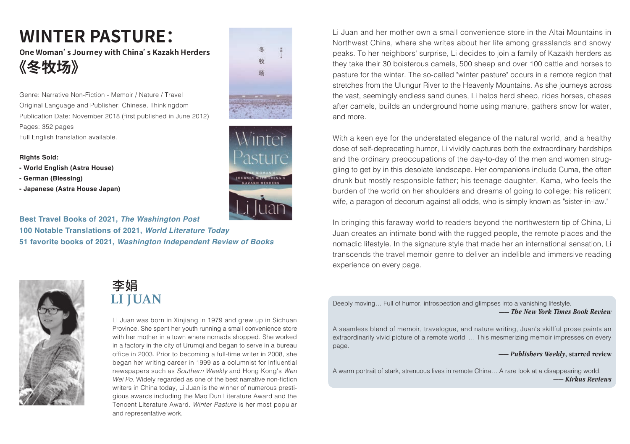# **WINTER PASTURE:**

**One Woman's Journey with China's Kazakh Herders 《冬牧场》**

Genre: Narrative Non-Fiction - Memoir / Nature / Travel Original Language and Publisher: Chinese, Thinkingdom Publication Date: November 2018 (first published in June 2012) Pages: 352 pages Full English translation available.

#### **Rights Sold:**

- **World English (Astra House)**
- **German (Blessing)**
- **Japanese (Astra House Japan)**





**Best Travel Books of 2021,** *The Washington Post* **100 Notable Translations of 2021,** *World Literature Today* **51 favorite books of 2021,** *Washington Independent Review of Books*



## 李娟 **LI JUAN**

Li Juan was born in Xinjiang in 1979 and grew up in Sichuan Province. She spent her youth running a small convenience store with her mother in a town where nomads shopped. She worked in a factory in the city of Urumqi and began to serve in a bureau office in 2003. Prior to becoming a full-time writer in 2008, she began her writing career in 1999 as a columnist for influential newspapers such as *Southern Weekly* and Hong Kong's *Wen Wei Po*. Widely regarded as one of the best narrative non-fiction writers in China today, Li Juan is the winner of numerous prestigious awards including the Mao Dun Literature Award and the Tencent Literature Award. *Winter Pasture* is her most popular and representative work.

Li Juan and her mother own a small convenience store in the Altai Mountains in Northwest China, where she writes about her life among grasslands and snowy peaks. To her neighbors' surprise, Li decides to join a family of Kazakh herders as they take their 30 boisterous camels, 500 sheep and over 100 cattle and horses to pasture for the winter. The so-called "winter pasture" occurs in a remote region that stretches from the Ulungur River to the Heavenly Mountains. As she journeys across the vast, seemingly endless sand dunes, Li helps herd sheep, rides horses, chases after camels, builds an underground home using manure, gathers snow for water, and more.

With a keen eye for the understated elegance of the natural world, and a healthy dose of self-deprecating humor, Li vividly captures both the extraordinary hardships and the ordinary preoccupations of the day-to-day of the men and women struggling to get by in this desolate landscape. Her companions include Cuma, the often drunk but mostly responsible father; his teenage daughter, Kama, who feels the burden of the world on her shoulders and dreams of going to college; his reticent wife, a paragon of decorum against all odds, who is simply known as "sister-in-law."

In bringing this faraway world to readers beyond the northwestern tip of China, Li Juan creates an intimate bond with the rugged people, the remote places and the nomadic lifestyle. In the signature style that made her an international sensation, Li transcends the travel memoir genre to deliver an indelible and immersive reading experience on every page.

Deeply moving… Full of humor, introspection and glimpses into a vanishing lifestyle. **——** *The New York Times Book Review*

A seamless blend of memoir, travelogue, and nature writing, Juan's skillful prose paints an extraordinarily vivid picture of a remote world … This mesmerizing memoir impresses on every page.

**——** *Publishers Weekly***, starred review**

A warm portrait of stark, strenuous lives in remote China… A rare look at a disappearing world. **——** *Kirkus Reviews*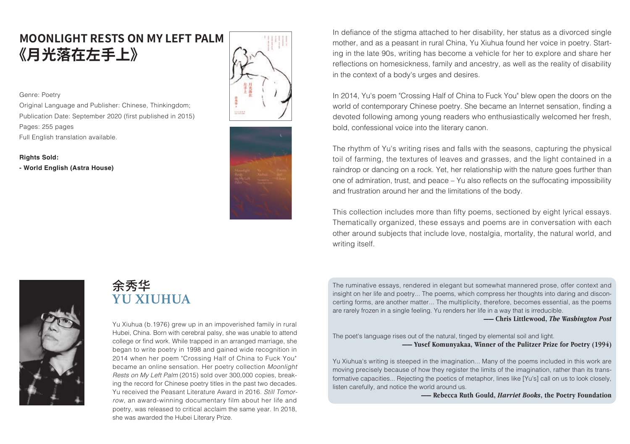# **MOONLIGHT RESTS ON MY LEFT PALM 《月光落在左手上》**

Genre: Poetry

Original Language and Publisher: Chinese, Thinkingdom; Publication Date: September 2020 (first published in 2015) Pages: 255 pages Full English translation available.

**Rights Sold:** 

**- World English (Astra House)**





In defiance of the stigma attached to her disability, her status as a divorced single mother, and as a peasant in rural China, Yu Xiuhua found her voice in poetry. Starting in the late 90s, writing has become a vehicle for her to explore and share her reflections on homesickness, family and ancestry, as well as the reality of disability in the context of a body's urges and desires.

In 2014, Yu's poem "Crossing Half of China to Fuck You" blew open the doors on the world of contemporary Chinese poetry. She became an Internet sensation, finding a devoted following among young readers who enthusiastically welcomed her fresh, bold, confessional voice into the literary canon.

The rhythm of Yu's writing rises and falls with the seasons, capturing the physical toil of farming, the textures of leaves and grasses, and the light contained in a raindrop or dancing on a rock. Yet, her relationship with the nature goes further than one of admiration, trust, and peace – Yu also reflects on the suffocating impossibility and frustration around her and the limitations of the body.

This collection includes more than fifty poems, sectioned by eight lyrical essays. Thematically organized, these essays and poems are in conversation with each other around subjects that include love, nostalgia, mortality, the natural world, and writing itself.



## 余秀华 **YU XIUHUA**

Yu Xiuhua (b.1976) grew up in an impoverished family in rural Hubei, China. Born with cerebral palsy, she was unable to attend college or find work. While trapped in an arranged marriage, she began to write poetry in 1998 and gained wide recognition in 2014 when her poem "Crossing Half of China to Fuck You" became an online sensation. Her poetry collection *Moonlight*  Rests on My Left Palm (2015) sold over 300,000 copies, breaking the record for Chinese poetry titles in the past two decades. Yu received the Peasant Literature Award in 2016. *Still Tomor-Tomor row*, an award-winning documentary film about her life and poetry, was released to critical acclaim the same year. In 2018, she was awarded the Hubei Literary Prize.

The ruminative essays, rendered in elegant but somewhat mannered prose, offer context and insight on her life and poetry... The poems, which compress her thoughts into daring and disconcerting forms, are another matter... The multiplicity, therefore, becomes essential, as the poems are rarely frozen in a single feeling. Yu renders her life in a way that is irreducible.

**—— Chris Littlewood,** *The Washington Post*

The poet's language rises out of the natural, tinged by elemental soil and light. **—— Yusef Komunyakaa, Winner of the Pulitzer Prize for Poetry (1994)** 

Yu Xiuhua's writing is steeped in the imagination... Many of the poems included in this work are moving precisely because of how they register the limits of the imagination, rather than its transformative capacities... Rejecting the poetics of metaphor, lines like [Yu's] call on us to look closely, listen carefully, and notice the world around us.

**—— Rebecca Ruth Gould,** *Harriet Books***, the Poetry Foundation**